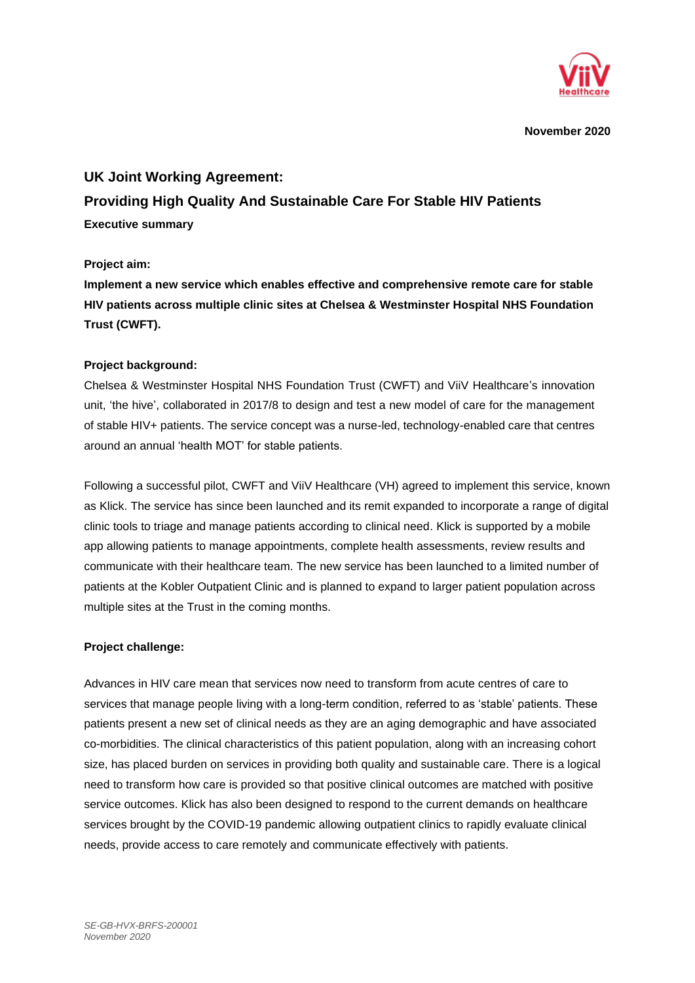

## **UK Joint Working Agreement:**

# **Providing High Quality And Sustainable Care For Stable HIV Patients Executive summary**

#### **Project aim:**

**Implement a new service which enables effective and comprehensive remote care for stable HIV patients across multiple clinic sites at Chelsea & Westminster Hospital NHS Foundation Trust (CWFT).**

#### **Project background:**

Chelsea & Westminster Hospital NHS Foundation Trust (CWFT) and ViiV Healthcare's innovation unit, 'the hive', collaborated in 2017/8 to design and test a new model of care for the management of stable HIV+ patients. The service concept was a nurse-led, technology-enabled care that centres around an annual 'health MOT' for stable patients.

Following a successful pilot, CWFT and ViiV Healthcare (VH) agreed to implement this service, known as Klick. The service has since been launched and its remit expanded to incorporate a range of digital clinic tools to triage and manage patients according to clinical need. Klick is supported by a mobile app allowing patients to manage appointments, complete health assessments, review results and communicate with their healthcare team. The new service has been launched to a limited number of patients at the Kobler Outpatient Clinic and is planned to expand to larger patient population across multiple sites at the Trust in the coming months.

#### **Project challenge:**

Advances in HIV care mean that services now need to transform from acute centres of care to services that manage people living with a long-term condition, referred to as 'stable' patients. These patients present a new set of clinical needs as they are an aging demographic and have associated co-morbidities. The clinical characteristics of this patient population, along with an increasing cohort size, has placed burden on services in providing both quality and sustainable care. There is a logical need to transform how care is provided so that positive clinical outcomes are matched with positive service outcomes. Klick has also been designed to respond to the current demands on healthcare services brought by the COVID-19 pandemic allowing outpatient clinics to rapidly evaluate clinical needs, provide access to care remotely and communicate effectively with patients.